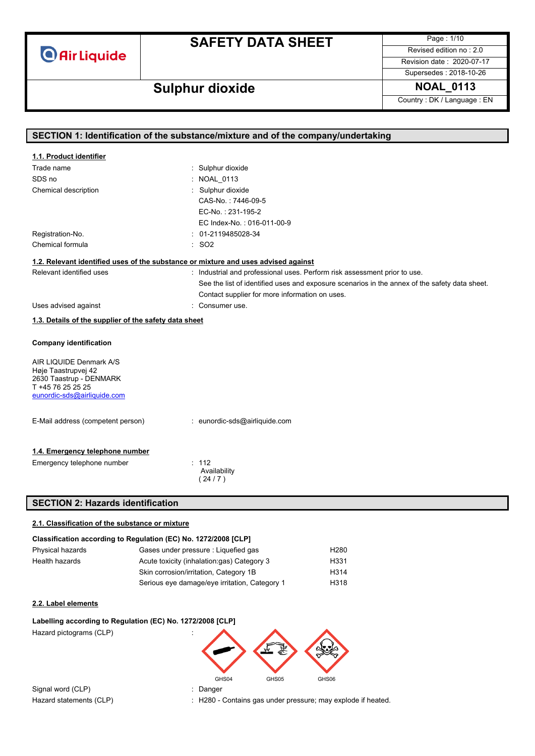**Air Liquide** 

# **SAFETY DATA SHEET**

Page : 1/10 Revised edition no : 2.0

Revision date : 2020-07-17 Supersedes : 2018-10-26

# **Sulphur dioxide NOAL\_0113**

Country : DK / Language : EN

| SECTION 1: Identification of the substance/mixture and of the company/undertaking |                                                                                               |  |
|-----------------------------------------------------------------------------------|-----------------------------------------------------------------------------------------------|--|
|                                                                                   |                                                                                               |  |
| 1.1. Product identifier                                                           |                                                                                               |  |
| Trade name                                                                        | : Sulphur dioxide                                                                             |  |
| SDS no                                                                            | : NOAL 0113                                                                                   |  |
| Chemical description                                                              | : Sulphur dioxide                                                                             |  |
|                                                                                   | CAS-No.: 7446-09-5                                                                            |  |
|                                                                                   | EC-No.: 231-195-2                                                                             |  |
|                                                                                   | EC Index-No.: 016-011-00-9                                                                    |  |
| Registration-No.                                                                  | $: 01-2119485028-34$                                                                          |  |
| Chemical formula                                                                  | : SO2                                                                                         |  |
|                                                                                   | 1.2. Relevant identified uses of the substance or mixture and uses advised against            |  |
| Relevant identified uses                                                          | : Industrial and professional uses. Perform risk assessment prior to use.                     |  |
|                                                                                   | See the list of identified uses and exposure scenarios in the annex of the safety data sheet. |  |
|                                                                                   | Contact supplier for more information on uses.                                                |  |
| Uses advised against                                                              | : Consumer use.                                                                               |  |
|                                                                                   |                                                                                               |  |
| 1.3. Details of the supplier of the safety data sheet                             |                                                                                               |  |
| <b>Company identification</b>                                                     |                                                                                               |  |
| AIR LIQUIDE Denmark A/S                                                           |                                                                                               |  |
| Høje Taastrupvej 42                                                               |                                                                                               |  |
| 2630 Taastrup - DENMARK<br>T +45 76 25 25 25                                      |                                                                                               |  |
| eunordic-sds@airliquide.com                                                       |                                                                                               |  |
|                                                                                   |                                                                                               |  |
| E-Mail address (competent person)                                                 | : eunordic-sds@airliquide.com                                                                 |  |
|                                                                                   |                                                                                               |  |
| 1.4. Emergency telephone number                                                   |                                                                                               |  |
| Emergency telephone number                                                        | : 112                                                                                         |  |
|                                                                                   | Availability                                                                                  |  |
|                                                                                   | (24/7)                                                                                        |  |
|                                                                                   |                                                                                               |  |
| <b>SECTION 2: Hazards identification</b>                                          |                                                                                               |  |
| 2.1. Classification of the substance or mixture                                   |                                                                                               |  |
|                                                                                   | Classification according to Regulation (EC) No. 1272/2008 [CLP]                               |  |
| Physical hazards                                                                  | Gases under pressure : Liquefied gas<br>H <sub>280</sub>                                      |  |
| Health hazards                                                                    | Acute toxicity (inhalation:gas) Category 3<br>H331                                            |  |
|                                                                                   | Skin corrosion/irritation, Category 1B<br>H314                                                |  |

### **2.2. Label elements**

# **Labelling according to Regulation (EC) No. 1272/2008 [CLP]** Hazard pictograms (CLP) GHS04 GHS05 GHS06 Signal word (CLP) in the state of the Signal word (CLP) in the Signal word of the Signal and Signal Signal and Signal and Signal and Signal and Signal and Signal and Signal and Signal and Signal and Signal and Signal and S

Hazard statements (CLP) : H280 - Contains gas under pressure; may explode if heated.

Serious eye damage/eye irritation, Category 1 H318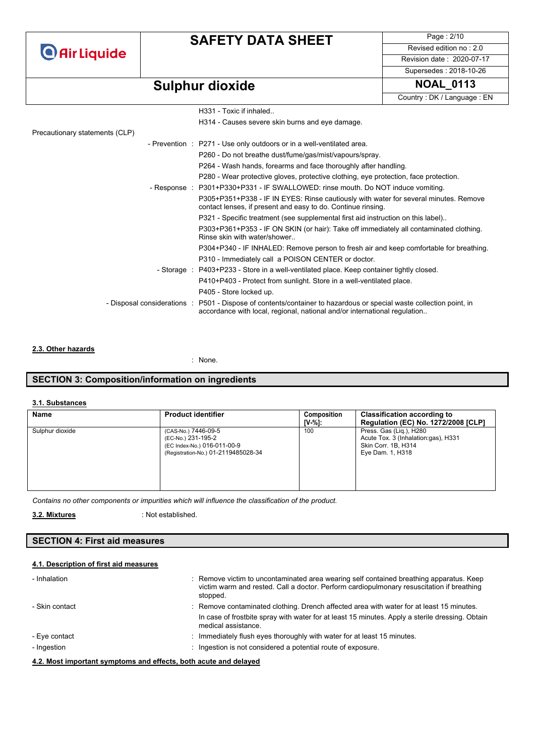**O** Air Liquide

# **SAFETY DATA SHEET**

Page : 2/10 Revised edition no : 2.0 Revision date : 2020-07-17

# **Sulphur dioxide NOAL\_0113**

Country : DK / Language : EN

Supersedes : 2018-10-26

|                                | H331 - Toxic if inhaled                                                                                                                                                                          |
|--------------------------------|--------------------------------------------------------------------------------------------------------------------------------------------------------------------------------------------------|
|                                | H314 - Causes severe skin burns and eye damage.                                                                                                                                                  |
| Precautionary statements (CLP) |                                                                                                                                                                                                  |
|                                | - Prevention : P271 - Use only outdoors or in a well-ventilated area.                                                                                                                            |
|                                | P260 - Do not breathe dust/fume/gas/mist/vapours/spray.                                                                                                                                          |
|                                | P264 - Wash hands, forearms and face thoroughly after handling.                                                                                                                                  |
|                                | P280 - Wear protective gloves, protective clothing, eye protection, face protection.                                                                                                             |
|                                | - Response : P301+P330+P331 - IF SWALLOWED: rinse mouth. Do NOT induce vomiting.                                                                                                                 |
|                                | P305+P351+P338 - IF IN EYES: Rinse cautiously with water for several minutes. Remove<br>contact lenses, if present and easy to do. Continue rinsing.                                             |
|                                | P321 - Specific treatment (see supplemental first aid instruction on this label)                                                                                                                 |
|                                | P303+P361+P353 - IF ON SKIN (or hair): Take off immediately all contaminated clothing.<br>Rinse skin with water/shower                                                                           |
|                                | P304+P340 - IF INHALED: Remove person to fresh air and keep comfortable for breathing.                                                                                                           |
|                                | P310 - Immediately call a POISON CENTER or doctor.                                                                                                                                               |
|                                | - Storage : P403+P233 - Store in a well-ventilated place. Keep container tightly closed.                                                                                                         |
|                                | P410+P403 - Protect from sunlight. Store in a well-ventilated place.                                                                                                                             |
|                                | P405 - Store locked up.                                                                                                                                                                          |
|                                | - Disposal considerations : P501 - Dispose of contents/container to hazardous or special waste collection point, in<br>accordance with local, regional, national and/or international regulation |
|                                |                                                                                                                                                                                                  |

### **2.3. Other hazards**

: None.

### **SECTION 3: Composition/information on ingredients**

### **3.1. Substances**

| Name            | <b>Product identifier</b>                                                                                       | Composition<br>IV-%1: | <b>Classification according to</b><br><b>Regulation (EC) No. 1272/2008 [CLP]</b>                           |
|-----------------|-----------------------------------------------------------------------------------------------------------------|-----------------------|------------------------------------------------------------------------------------------------------------|
| Sulphur dioxide | (CAS-No.) 7446-09-5<br>(EC-No.) 231-195-2<br>(EC Index-No.) 016-011-00-9<br>(Registration-No.) 01-2119485028-34 | 100                   | Press. Gas (Lig.), H280<br>Acute Tox. 3 (Inhalation: qas), H331<br>Skin Corr. 1B, H314<br>Eye Dam. 1, H318 |

*Contains no other components or impurities which will influence the classification of the product.*

 : Not established. **3.2. Mixtures** 

### **SECTION 4: First aid measures**

### **4.1. Description of first aid measures**

| - Inhalation                 | : Remove victim to uncontaminated area wearing self contained breathing apparatus. Keep<br>victim warm and rested. Call a doctor. Perform cardiopulmonary resuscitation if breathing<br>stopped.                   |
|------------------------------|--------------------------------------------------------------------------------------------------------------------------------------------------------------------------------------------------------------------|
| - Skin contact               | : Remove contaminated clothing. Drench affected area with water for at least 15 minutes.<br>In case of frostbite spray with water for at least 15 minutes. Apply a sterile dressing. Obtain<br>medical assistance. |
| - Eye contact<br>- Ingestion | Immediately flush eyes thoroughly with water for at least 15 minutes.<br>Ingestion is not considered a potential route of exposure.                                                                                |
|                              |                                                                                                                                                                                                                    |

**4.2. Most important symptoms and effects, both acute and delayed**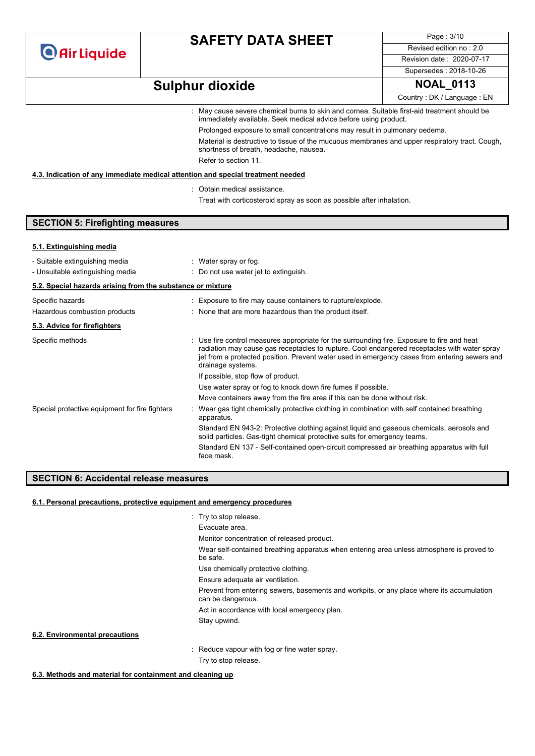**O** Air Liquide

# **SAFETY DATA SHEET**

Page : 3/10 Revised edition no : 2.0 Revision date : 2020-07-17

Supersedes : 2018-10-26

# **Sulphur dioxide NOAL\_0113**

Country : DK / Language : EN

: May cause severe chemical burns to skin and cornea. Suitable first-aid treatment should be immediately available. Seek medical advice before using product. Prolonged exposure to small concentrations may result in pulmonary oedema.

Material is destructive to tissue of the mucuous membranes and upper respiratory tract. Cough, shortness of breath, headache, nausea.

Refer to section 11.

### **4.3. Indication of any immediate medical attention and special treatment needed**

- : Obtain medical assistance.
	- Treat with corticosteroid spray as soon as possible after inhalation.

### **SECTION 5: Firefighting measures**

#### **5.1. Extinguishing media**

| - Suitable extinguishing media<br>- Unsuitable extinguishing media | : Water spray or fog.<br>: Do not use water jet to extinguish.                                                                                                                                                                                                                                                    |
|--------------------------------------------------------------------|-------------------------------------------------------------------------------------------------------------------------------------------------------------------------------------------------------------------------------------------------------------------------------------------------------------------|
| 5.2. Special hazards arising from the substance or mixture         |                                                                                                                                                                                                                                                                                                                   |
| Specific hazards                                                   | : Exposure to fire may cause containers to rupture/explode.                                                                                                                                                                                                                                                       |
| Hazardous combustion products                                      | : None that are more hazardous than the product itself.                                                                                                                                                                                                                                                           |
| 5.3. Advice for firefighters                                       |                                                                                                                                                                                                                                                                                                                   |
| Specific methods                                                   | : Use fire control measures appropriate for the surrounding fire. Exposure to fire and heat<br>radiation may cause gas receptacles to rupture. Cool endangered receptacles with water spray<br>jet from a protected position. Prevent water used in emergency cases from entering sewers and<br>drainage systems. |
|                                                                    | If possible, stop flow of product.                                                                                                                                                                                                                                                                                |
|                                                                    | Use water spray or fog to knock down fire fumes if possible.                                                                                                                                                                                                                                                      |
|                                                                    | Move containers away from the fire area if this can be done without risk.                                                                                                                                                                                                                                         |
| Special protective equipment for fire fighters                     | Wear gas tight chemically protective clothing in combination with self contained breathing<br>apparatus.                                                                                                                                                                                                          |
|                                                                    | Standard EN 943-2: Protective clothing against liquid and gaseous chemicals, aerosols and<br>solid particles. Gas-tight chemical protective suits for emergency teams.                                                                                                                                            |
|                                                                    | Standard EN 137 - Self-contained open-circuit compressed air breathing apparatus with full<br>face mask.                                                                                                                                                                                                          |

### **SECTION 6: Accidental release measures**

#### **6.1. Personal precautions, protective equipment and emergency procedures**

|                                | : Try to stop release.                                                                                         |
|--------------------------------|----------------------------------------------------------------------------------------------------------------|
|                                | Evacuate area.                                                                                                 |
|                                | Monitor concentration of released product.                                                                     |
|                                | Wear self-contained breathing apparatus when entering area unless atmosphere is proved to<br>be safe.          |
|                                | Use chemically protective clothing.                                                                            |
|                                | Ensure adequate air ventilation.                                                                               |
|                                | Prevent from entering sewers, basements and workpits, or any place where its accumulation<br>can be dangerous. |
|                                | Act in accordance with local emergency plan.                                                                   |
|                                | Stay upwind.                                                                                                   |
| 6.2. Environmental precautions |                                                                                                                |
|                                | : Reduce vapour with fog or fine water spray.                                                                  |
|                                | Try to stop release.                                                                                           |

**6.3. Methods and material for containment and cleaning up**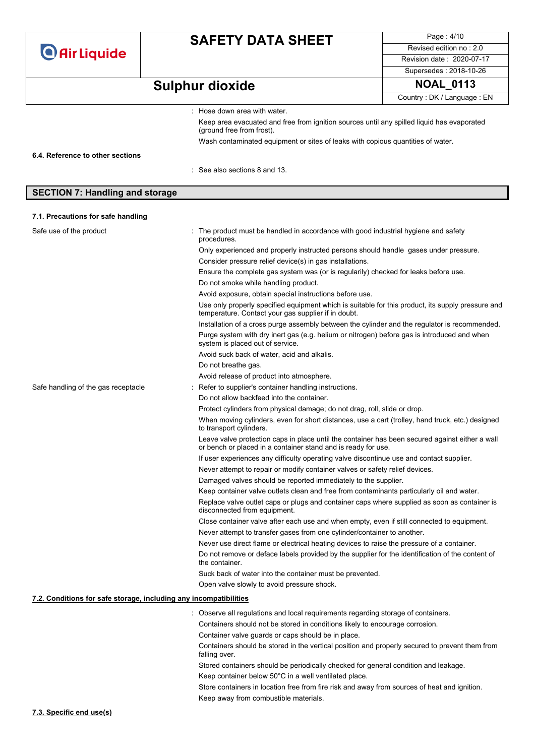|                                                                   | <b>SAFETY DATA SHEET</b>                               |                                                                                                                                              | Page: 4/10                                                                                        |  |
|-------------------------------------------------------------------|--------------------------------------------------------|----------------------------------------------------------------------------------------------------------------------------------------------|---------------------------------------------------------------------------------------------------|--|
| <b>O</b> Air Liquide                                              |                                                        |                                                                                                                                              |                                                                                                   |  |
|                                                                   |                                                        |                                                                                                                                              | Revision date: 2020-07-17                                                                         |  |
|                                                                   |                                                        |                                                                                                                                              | Supersedes: 2018-10-26                                                                            |  |
|                                                                   | <b>Sulphur dioxide</b>                                 |                                                                                                                                              | <b>NOAL_0113</b>                                                                                  |  |
|                                                                   |                                                        |                                                                                                                                              | Country: DK / Language: EN                                                                        |  |
|                                                                   | : Hose down area with water.                           |                                                                                                                                              |                                                                                                   |  |
|                                                                   |                                                        | Keep area evacuated and free from ignition sources until any spilled liquid has evaporated                                                   |                                                                                                   |  |
|                                                                   | (ground free from frost).                              |                                                                                                                                              |                                                                                                   |  |
|                                                                   |                                                        | Wash contaminated equipment or sites of leaks with copious quantities of water.                                                              |                                                                                                   |  |
| 6.4. Reference to other sections                                  |                                                        |                                                                                                                                              |                                                                                                   |  |
|                                                                   | $:$ See also sections 8 and 13.                        |                                                                                                                                              |                                                                                                   |  |
|                                                                   |                                                        |                                                                                                                                              |                                                                                                   |  |
| <b>SECTION 7: Handling and storage</b>                            |                                                        |                                                                                                                                              |                                                                                                   |  |
|                                                                   |                                                        |                                                                                                                                              |                                                                                                   |  |
| 7.1. Precautions for safe handling                                |                                                        |                                                                                                                                              |                                                                                                   |  |
| Safe use of the product                                           |                                                        | The product must be handled in accordance with good industrial hygiene and safety                                                            |                                                                                                   |  |
|                                                                   | procedures.                                            |                                                                                                                                              |                                                                                                   |  |
|                                                                   |                                                        | Only experienced and properly instructed persons should handle gases under pressure.                                                         |                                                                                                   |  |
|                                                                   |                                                        | Consider pressure relief device(s) in gas installations.                                                                                     |                                                                                                   |  |
|                                                                   | Do not smoke while handling product.                   | Ensure the complete gas system was (or is regularily) checked for leaks before use.                                                          |                                                                                                   |  |
|                                                                   |                                                        | Avoid exposure, obtain special instructions before use.                                                                                      |                                                                                                   |  |
|                                                                   |                                                        |                                                                                                                                              | Use only properly specified equipment which is suitable for this product, its supply pressure and |  |
|                                                                   |                                                        | temperature. Contact your gas supplier if in doubt.                                                                                          |                                                                                                   |  |
|                                                                   |                                                        | Installation of a cross purge assembly between the cylinder and the regulator is recommended.                                                |                                                                                                   |  |
|                                                                   | system is placed out of service.                       |                                                                                                                                              | Purge system with dry inert gas (e.g. helium or nitrogen) before gas is introduced and when       |  |
|                                                                   |                                                        | Avoid suck back of water, acid and alkalis.                                                                                                  |                                                                                                   |  |
|                                                                   | Do not breathe gas.                                    |                                                                                                                                              |                                                                                                   |  |
|                                                                   | Avoid release of product into atmosphere.              |                                                                                                                                              |                                                                                                   |  |
| Safe handling of the gas receptacle                               | : Refer to supplier's container handling instructions. |                                                                                                                                              |                                                                                                   |  |
|                                                                   | Do not allow backfeed into the container.              |                                                                                                                                              |                                                                                                   |  |
|                                                                   |                                                        | Protect cylinders from physical damage; do not drag, roll, slide or drop.                                                                    | When moving cylinders, even for short distances, use a cart (trolley, hand truck, etc.) designed  |  |
|                                                                   | to transport cylinders.                                |                                                                                                                                              |                                                                                                   |  |
|                                                                   |                                                        | or bench or placed in a container stand and is ready for use.                                                                                | Leave valve protection caps in place until the container has been secured against either a wall   |  |
|                                                                   |                                                        | If user experiences any difficulty operating valve discontinue use and contact supplier.                                                     |                                                                                                   |  |
|                                                                   |                                                        | Never attempt to repair or modify container valves or safety relief devices.                                                                 |                                                                                                   |  |
|                                                                   |                                                        | Damaged valves should be reported immediately to the supplier.                                                                               |                                                                                                   |  |
|                                                                   |                                                        | Keep container valve outlets clean and free from contaminants particularly oil and water.                                                    |                                                                                                   |  |
|                                                                   | disconnected from equipment.                           |                                                                                                                                              | Replace valve outlet caps or plugs and container caps where supplied as soon as container is      |  |
|                                                                   |                                                        |                                                                                                                                              | Close container valve after each use and when empty, even if still connected to equipment.        |  |
|                                                                   |                                                        | Never attempt to transfer gases from one cylinder/container to another.                                                                      |                                                                                                   |  |
|                                                                   |                                                        | Never use direct flame or electrical heating devices to raise the pressure of a container.                                                   | Do not remove or deface labels provided by the supplier for the identification of the content of  |  |
|                                                                   | the container.                                         |                                                                                                                                              |                                                                                                   |  |
|                                                                   |                                                        | Suck back of water into the container must be prevented.                                                                                     |                                                                                                   |  |
|                                                                   | Open valve slowly to avoid pressure shock.             |                                                                                                                                              |                                                                                                   |  |
| 7.2. Conditions for safe storage, including any incompatibilities |                                                        |                                                                                                                                              |                                                                                                   |  |
|                                                                   |                                                        | : Observe all regulations and local requirements regarding storage of containers.                                                            |                                                                                                   |  |
|                                                                   |                                                        | Containers should not be stored in conditions likely to encourage corrosion.                                                                 |                                                                                                   |  |
|                                                                   |                                                        | Container valve guards or caps should be in place.                                                                                           |                                                                                                   |  |
|                                                                   | falling over.                                          |                                                                                                                                              | Containers should be stored in the vertical position and properly secured to prevent them from    |  |
|                                                                   |                                                        | Stored containers should be periodically checked for general condition and leakage.<br>Keep container below 50°C in a well ventilated place. |                                                                                                   |  |

Store containers in location free from fire risk and away from sources of heat and ignition. Keep away from combustible materials.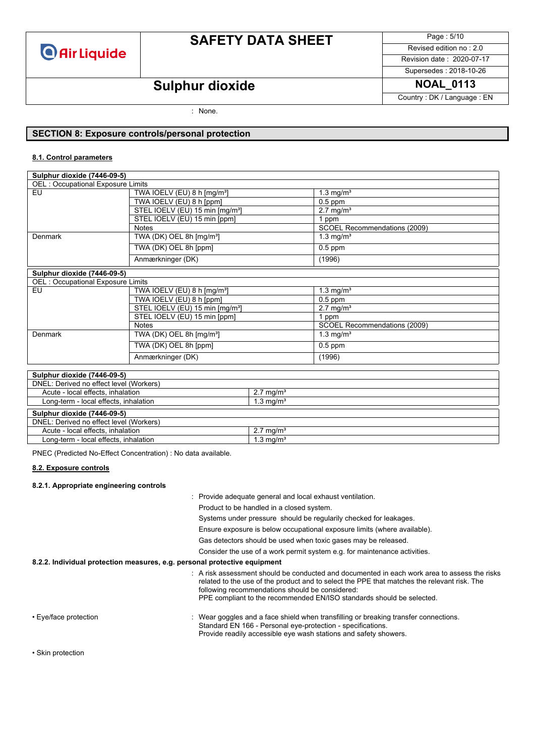

# **SAFETY DATA SHEET**

Page : 5/10 Revised edition no : 2.0

Revision date : 2020-07-17 Supersedes : 2018-10-26

Country : DK / Language : EN

# **Sulphur dioxide NOAL\_0113**

: None.

### **SECTION 8: Exposure controls/personal protection**

#### **8.1. Control parameters**

| Sulphur dioxide (7446-09-5)              |                                                        |                              |  |  |
|------------------------------------------|--------------------------------------------------------|------------------------------|--|--|
| <b>OEL: Occupational Exposure Limits</b> |                                                        |                              |  |  |
| EU                                       | TWA IOELV (EU) 8 h $[mg/m3]$                           | $1.3 \text{ mg/m}^3$         |  |  |
|                                          | TWA IOELV (EU) 8 h [ppm]                               | $0.5$ ppm                    |  |  |
|                                          | STEL IOELV (EU) 15 min [mg/m <sup>3</sup> ]            | $2.7 \text{ mg/m}^3$         |  |  |
|                                          | STEL IOELV (EU) 15 min [ppm]                           | ppm                          |  |  |
|                                          | <b>Notes</b>                                           | SCOEL Recommendations (2009) |  |  |
| Denmark                                  | TWA (DK) OEL 8h [mg/m <sup>3</sup> ]                   | $1.3 \text{ mg/m}^3$         |  |  |
|                                          | TWA (DK) OEL 8h [ppm]                                  | $0.5$ ppm                    |  |  |
|                                          | Anmærkninger (DK)                                      | (1996)                       |  |  |
| Sulphur dioxide (7446-09-5)              |                                                        |                              |  |  |
| <b>OEL: Occupational Exposure Limits</b> |                                                        |                              |  |  |
| EU                                       | TWA IOELV (EU) 8 h $[mg/m3]$                           | $1.3 \text{ mg/m}^3$         |  |  |
|                                          | TWA IOELV (EU) 8 h [ppm]                               | $0.5$ ppm                    |  |  |
|                                          | STEL IOELV (EU) 15 min [mg/m <sup>3</sup> ]            | $2.7 \text{ mg/m}^3$         |  |  |
|                                          | STEL IOELV (EU) 15 min [ppm]                           | 1 ppm                        |  |  |
|                                          | <b>Notes</b>                                           | SCOEL Recommendations (2009) |  |  |
| Denmark                                  | $\overline{\text{TWA}}$ (DK) OEL 8h $\text{[mg/m$^3]}$ | $1.3 \text{ mg/m}^3$         |  |  |
|                                          |                                                        |                              |  |  |
|                                          | TWA (DK) OEL 8h [ppm]                                  | $0.5$ ppm                    |  |  |

| Sulphur dioxide (7446-09-5)             |                      |  |
|-----------------------------------------|----------------------|--|
| DNEL: Derived no effect level (Workers) |                      |  |
| Acute - local effects, inhalation       | $2.7 \text{ mg/m}^3$ |  |
| Long-term - local effects, inhalation   | $1.3 \text{ mg/m}^3$ |  |
|                                         |                      |  |
| Sulphur dioxide (7446-09-5)             |                      |  |
| DNEL: Derived no effect level (Workers) |                      |  |
| Acute - local effects, inhalation       | $2.7 \text{ ma/m}^3$ |  |
| Long-term - local effects, inhalation   | $1.3 \text{ ma/m}^3$ |  |

PNEC (Predicted No-Effect Concentration) : No data available.

#### **8.2. Exposure controls**

#### **8.2.1. Appropriate engineering controls**

|                                                                           | : Provide adequate general and local exhaust ventilation.                                                                                                                                                                                                                                                               |
|---------------------------------------------------------------------------|-------------------------------------------------------------------------------------------------------------------------------------------------------------------------------------------------------------------------------------------------------------------------------------------------------------------------|
|                                                                           | Product to be handled in a closed system.                                                                                                                                                                                                                                                                               |
|                                                                           | Systems under pressure should be regularily checked for leakages.                                                                                                                                                                                                                                                       |
|                                                                           | Ensure exposure is below occupational exposure limits (where available).                                                                                                                                                                                                                                                |
|                                                                           | Gas detectors should be used when toxic gases may be released.                                                                                                                                                                                                                                                          |
|                                                                           | Consider the use of a work permit system e.g. for maintenance activities.                                                                                                                                                                                                                                               |
| 8.2.2. Individual protection measures, e.g. personal protective equipment |                                                                                                                                                                                                                                                                                                                         |
|                                                                           | : A risk assessment should be conducted and documented in each work area to assess the risks<br>related to the use of the product and to select the PPE that matches the relevant risk. The<br>following recommendations should be considered:<br>PPE compliant to the recommended EN/ISO standards should be selected. |
| • Eye/face protection                                                     | : Wear goggles and a face shield when transfilling or breaking transfer connections.<br>Standard EN 166 - Personal eye-protection - specifications.<br>Provide readily accessible eye wash stations and safety showers.                                                                                                 |

• Skin protection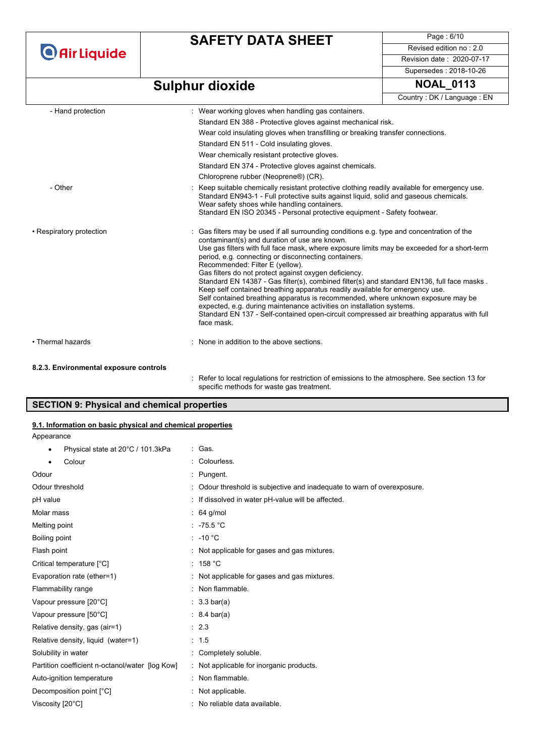**O** Air Liquide

# **SAFETY DATA SHEET**

Page : 6/10 Revised edition no : 2.0 Revision date : 2020-07-17 Supersedes : 2018-10-26

# **Sulphur dioxide NOAL\_0113**

|                          | Country: DK / Language: EN                                                                                                                                                                                                                                                                                                                                                                                                                                                                                                                                                                                                                                                                                                                                                                                                                            |  |
|--------------------------|-------------------------------------------------------------------------------------------------------------------------------------------------------------------------------------------------------------------------------------------------------------------------------------------------------------------------------------------------------------------------------------------------------------------------------------------------------------------------------------------------------------------------------------------------------------------------------------------------------------------------------------------------------------------------------------------------------------------------------------------------------------------------------------------------------------------------------------------------------|--|
| - Hand protection        | : Wear working gloves when handling gas containers.                                                                                                                                                                                                                                                                                                                                                                                                                                                                                                                                                                                                                                                                                                                                                                                                   |  |
|                          | Standard EN 388 - Protective gloves against mechanical risk.                                                                                                                                                                                                                                                                                                                                                                                                                                                                                                                                                                                                                                                                                                                                                                                          |  |
|                          | Wear cold insulating gloves when transfilling or breaking transfer connections.                                                                                                                                                                                                                                                                                                                                                                                                                                                                                                                                                                                                                                                                                                                                                                       |  |
|                          | Standard EN 511 - Cold insulating gloves.                                                                                                                                                                                                                                                                                                                                                                                                                                                                                                                                                                                                                                                                                                                                                                                                             |  |
|                          | Wear chemically resistant protective gloves.                                                                                                                                                                                                                                                                                                                                                                                                                                                                                                                                                                                                                                                                                                                                                                                                          |  |
|                          | Standard EN 374 - Protective gloves against chemicals.                                                                                                                                                                                                                                                                                                                                                                                                                                                                                                                                                                                                                                                                                                                                                                                                |  |
|                          | Chloroprene rubber (Neoprene®) (CR).                                                                                                                                                                                                                                                                                                                                                                                                                                                                                                                                                                                                                                                                                                                                                                                                                  |  |
| - Other                  | Keep suitable chemically resistant protective clothing readily available for emergency use.<br>Standard EN943-1 - Full protective suits against liquid, solid and gaseous chemicals.<br>Wear safety shoes while handling containers.<br>Standard EN ISO 20345 - Personal protective equipment - Safety footwear.                                                                                                                                                                                                                                                                                                                                                                                                                                                                                                                                      |  |
|                          |                                                                                                                                                                                                                                                                                                                                                                                                                                                                                                                                                                                                                                                                                                                                                                                                                                                       |  |
| • Respiratory protection | : Gas filters may be used if all surrounding conditions e.g. type and concentration of the<br>contaminant(s) and duration of use are known.<br>Use gas filters with full face mask, where exposure limits may be exceeded for a short-term<br>period, e.g. connecting or disconnecting containers.<br>Recommended: Filter E (yellow).<br>Gas filters do not protect against oxygen deficiency.<br>Standard EN 14387 - Gas filter(s), combined filter(s) and standard EN136, full face masks.<br>Keep self contained breathing apparatus readily available for emergency use.<br>Self contained breathing apparatus is recommended, where unknown exposure may be<br>expected, e.g. during maintenance activities on installation systems.<br>Standard EN 137 - Self-contained open-circuit compressed air breathing apparatus with full<br>face mask. |  |
| • Thermal hazards        | : None in addition to the above sections.                                                                                                                                                                                                                                                                                                                                                                                                                                                                                                                                                                                                                                                                                                                                                                                                             |  |
|                          |                                                                                                                                                                                                                                                                                                                                                                                                                                                                                                                                                                                                                                                                                                                                                                                                                                                       |  |

#### **8.2.3. Environmental exposure controls**

: Refer to local regulations for restriction of emissions to the atmosphere. See section 13 for specific methods for waste gas treatment.

### **SECTION 9: Physical and chemical properties**

#### **9.1. Information on basic physical and chemical properties**

|  |  | Appearance |
|--|--|------------|
|--|--|------------|

| Physical state at 20°C / 101.3kPa<br>٠          | : Gas.                                                                |
|-------------------------------------------------|-----------------------------------------------------------------------|
| Colour<br>$\bullet$                             | Colourless.                                                           |
| Odour                                           | Pungent.                                                              |
| Odour threshold                                 | Odour threshold is subjective and inadequate to warn of overexposure. |
| pH value                                        | If dissolved in water pH-value will be affected.                      |
| Molar mass                                      | 64 g/mol                                                              |
| Melting point                                   | : $-75.5\degree$ C                                                    |
| Boiling point                                   | $: -10 °C$                                                            |
| Flash point                                     | Not applicable for gases and gas mixtures.                            |
| Critical temperature [°C]                       | : 158 °C                                                              |
| Evaporation rate (ether=1)                      | : Not applicable for gases and gas mixtures.                          |
| Flammability range                              | : Non flammable.                                                      |
| Vapour pressure [20°C]                          | $: 3.3 \text{ bar(a)}$                                                |
| Vapour pressure [50°C]                          | $: 8.4 \text{ bar(a)}$                                                |
| Relative density, gas (air=1)                   | : 2.3                                                                 |
| Relative density, liquid (water=1)              | : 1.5                                                                 |
| Solubility in water                             | Completely soluble.                                                   |
| Partition coefficient n-octanol/water [log Kow] | : Not applicable for inorganic products.                              |
| Auto-ignition temperature                       | Non flammable.                                                        |
| Decomposition point [°C]                        | Not applicable.                                                       |
| Viscosity [20°C]                                | No reliable data available.                                           |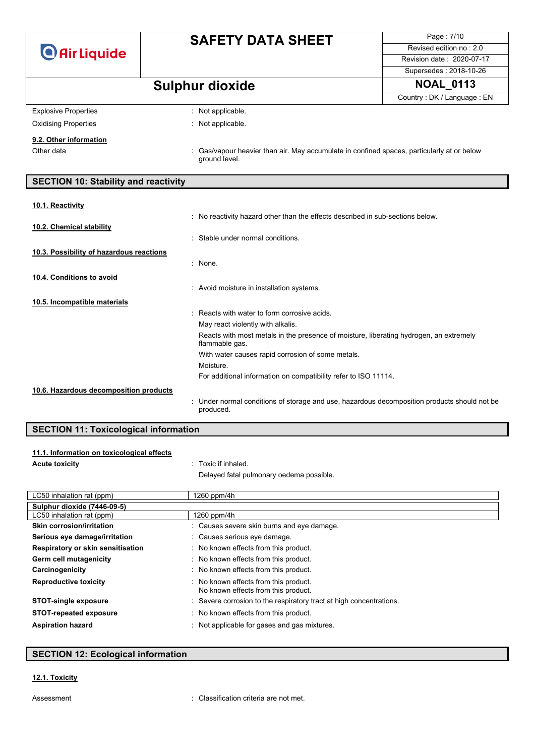|                                             | <b>SAFETY DATA SHEET</b>                                                                                | Page: 7/10                 |
|---------------------------------------------|---------------------------------------------------------------------------------------------------------|----------------------------|
| <b>O</b> Air Liquide                        |                                                                                                         | Revised edition no: 2.0    |
|                                             |                                                                                                         | Revision date: 2020-07-17  |
|                                             |                                                                                                         | Supersedes: 2018-10-26     |
|                                             | <b>Sulphur dioxide</b>                                                                                  | <b>NOAL 0113</b>           |
|                                             |                                                                                                         | Country: DK / Language: EN |
| <b>Explosive Properties</b>                 | : Not applicable.                                                                                       |                            |
| <b>Oxidising Properties</b>                 | : Not applicable.                                                                                       |                            |
| 9.2. Other information                      |                                                                                                         |                            |
| Other data                                  | Gas/vapour heavier than air. May accumulate in confined spaces, particularly at or below                |                            |
|                                             | ground level.                                                                                           |                            |
| <b>SECTION 10: Stability and reactivity</b> |                                                                                                         |                            |
|                                             |                                                                                                         |                            |
| 10.1. Reactivity                            |                                                                                                         |                            |
|                                             | : No reactivity hazard other than the effects described in sub-sections below.                          |                            |
| 10.2. Chemical stability                    | : Stable under normal conditions.                                                                       |                            |
|                                             |                                                                                                         |                            |
| 10.3. Possibility of hazardous reactions    | : None.                                                                                                 |                            |
|                                             |                                                                                                         |                            |
| 10.4. Conditions to avoid                   |                                                                                                         |                            |
|                                             | : Avoid moisture in installation systems.                                                               |                            |
| 10.5. Incompatible materials                |                                                                                                         |                            |
|                                             | Reacts with water to form corrosive acids.<br>May react violently with alkalis.                         |                            |
|                                             | Reacts with most metals in the presence of moisture, liberating hydrogen, an extremely                  |                            |
|                                             | flammable gas.                                                                                          |                            |
|                                             | With water causes rapid corrosion of some metals.                                                       |                            |
|                                             | Moisture.                                                                                               |                            |
|                                             | For additional information on compatibility refer to ISO 11114.                                         |                            |
| 10.6. Hazardous decomposition products      |                                                                                                         |                            |
|                                             | Under normal conditions of storage and use, hazardous decomposition products should not be<br>produced. |                            |

### **SECTION 11: Toxicological information**

| 11.1. Information on toxicological effects |  |  |  |
|--------------------------------------------|--|--|--|
|--------------------------------------------|--|--|--|

**Acute toxicity** : Toxic if inhaled.

Delayed fatal pulmonary oedema possible.

| LC50 inhalation rat (ppm)         | 1260 ppm/4h                                                                  |
|-----------------------------------|------------------------------------------------------------------------------|
| Sulphur dioxide (7446-09-5)       |                                                                              |
| LC50 inhalation rat (ppm)         | 1260 ppm/4h                                                                  |
| Skin corrosion/irritation         | : Causes severe skin burns and eye damage.                                   |
| Serious eye damage/irritation     | : Causes serious eye damage.                                                 |
| Respiratory or skin sensitisation | : No known effects from this product.                                        |
| Germ cell mutagenicity            | : No known effects from this product.                                        |
| Carcinogenicity                   | : No known effects from this product.                                        |
| <b>Reproductive toxicity</b>      | : No known effects from this product.<br>No known effects from this product. |
| <b>STOT-single exposure</b>       | : Severe corrosion to the respiratory tract at high concentrations.          |
| <b>STOT-repeated exposure</b>     | : No known effects from this product.                                        |
| <b>Aspiration hazard</b>          | : Not applicable for gases and gas mixtures.                                 |

## **SECTION 12: Ecological information**

### **12.1. Toxicity**

Assessment : Classification criteria are not met.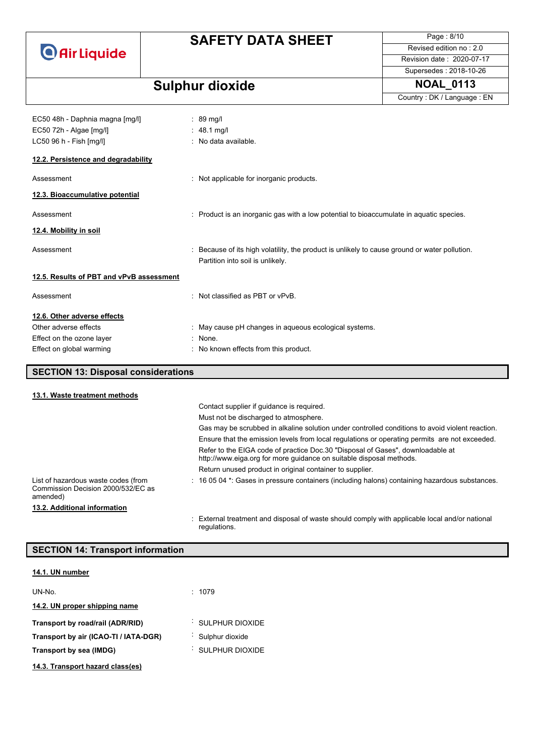

# **SAFETY DATA SHEET**

Page : 8/10 Revised edition no : 2.0 Revision date : 2020-07-17 Supersedes : 2018-10-26

Country : DK / Language : EN

# **Sulphur dioxide NOAL\_0113**

| EC50 48h - Daphnia magna [mg/l]            | $: 89$ mg/l                                                                                                                       |
|--------------------------------------------|-----------------------------------------------------------------------------------------------------------------------------------|
| EC50 72h - Algae [mg/l]                    | : $48.1 \text{ mq/l}$                                                                                                             |
| LC50 96 h - Fish [mg/l]                    | : No data available.                                                                                                              |
| 12.2. Persistence and degradability        |                                                                                                                                   |
| Assessment                                 | : Not applicable for inorganic products.                                                                                          |
| 12.3. Bioaccumulative potential            |                                                                                                                                   |
| Assessment                                 | : Product is an inorganic gas with a low potential to bioaccumulate in aquatic species.                                           |
| 12.4. Mobility in soil                     |                                                                                                                                   |
| Assessment                                 | : Because of its high volatility, the product is unlikely to cause ground or water pollution.<br>Partition into soil is unlikely. |
| 12.5. Results of PBT and vPvB assessment   |                                                                                                                                   |
| Assessment                                 | : Not classified as PBT or vPvB.                                                                                                  |
| 12.6. Other adverse effects                |                                                                                                                                   |
| Other adverse effects                      | : May cause pH changes in aqueous ecological systems.                                                                             |
| Effect on the ozone layer                  | : None.                                                                                                                           |
| Effect on global warming                   | : No known effects from this product.                                                                                             |
|                                            |                                                                                                                                   |
| <b>SECTION 13: Disposal considerations</b> |                                                                                                                                   |
|                                            |                                                                                                                                   |

| 13.1. Waste treatment methods                                                         |                                                                                                                                                       |
|---------------------------------------------------------------------------------------|-------------------------------------------------------------------------------------------------------------------------------------------------------|
|                                                                                       | Contact supplier if quidance is required.                                                                                                             |
|                                                                                       | Must not be discharged to atmosphere.                                                                                                                 |
|                                                                                       | Gas may be scrubbed in alkaline solution under controlled conditions to avoid violent reaction.                                                       |
|                                                                                       | Ensure that the emission levels from local regulations or operating permits are not exceeded.                                                         |
|                                                                                       | Refer to the EIGA code of practice Doc.30 "Disposal of Gases", downloadable at<br>http://www.eiga.org for more guidance on suitable disposal methods. |
|                                                                                       | Return unused product in original container to supplier.                                                                                              |
| List of hazardous waste codes (from<br>Commission Decision 2000/532/EC as<br>amended) | $\div$ 16 05 04 $^{\star}$ : Gases in pressure containers (including halons) containing hazardous substances.                                         |
| 13.2. Additional information                                                          |                                                                                                                                                       |
|                                                                                       | : External treatment and disposal of waste should comply with applicable local and/or national<br>regulations.                                        |

### **SECTION 14: Transport information**

### **14.1. UN number**

| UN-No.                                | : 1079          |
|---------------------------------------|-----------------|
| 14.2. UN proper shipping name         |                 |
| Transport by road/rail (ADR/RID)      | SULPHUR DIOXIDE |
| Transport by air (ICAO-TI / IATA-DGR) | Sulphur dioxide |
| Transport by sea (IMDG)               | SULPHUR DIOXIDE |
| 14.3. Transport hazard class(es)      |                 |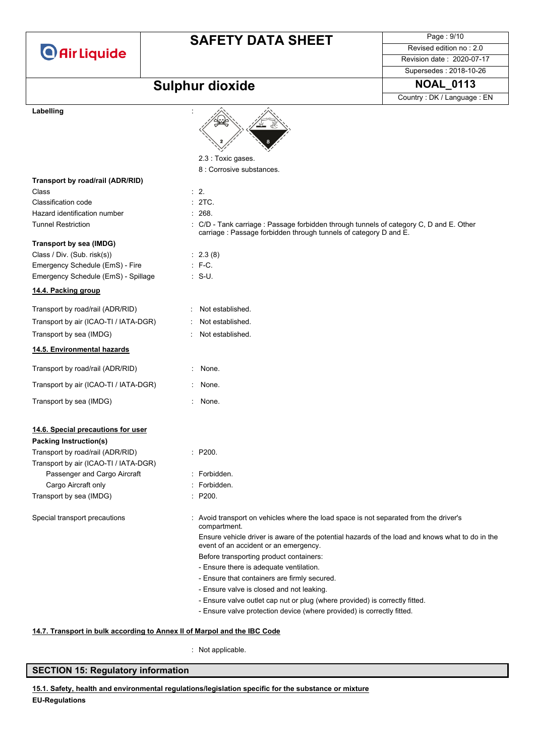

# **SAFETY DATA SHEET**

Page : 9/10 Revised edition no : 2.0 Revision date : 2020-07-17

# **Sulphur dioxide NOAL\_0113**

Supersedes : 2018-10-26 Country : DK / Language : EN

| Labelling                             |                                                                                                                                                              |
|---------------------------------------|--------------------------------------------------------------------------------------------------------------------------------------------------------------|
|                                       | 2.3 : Toxic gases.                                                                                                                                           |
|                                       | 8 : Corrosive substances.                                                                                                                                    |
| Transport by road/rail (ADR/RID)      |                                                                                                                                                              |
| Class                                 | $\therefore$ 2.                                                                                                                                              |
| Classification code                   | : 2TC.                                                                                                                                                       |
| Hazard identification number          | : 268.                                                                                                                                                       |
| <b>Tunnel Restriction</b>             | : C/D - Tank carriage : Passage forbidden through tunnels of category C, D and E. Other<br>carriage : Passage forbidden through tunnels of category D and E. |
| <b>Transport by sea (IMDG)</b>        |                                                                                                                                                              |
| Class / Div. (Sub. risk(s))           | : 2.3(8)                                                                                                                                                     |
| Emergency Schedule (EmS) - Fire       | $: F-C.$                                                                                                                                                     |
| Emergency Schedule (EmS) - Spillage   | $\therefore$ S-U.                                                                                                                                            |
| 14.4. Packing group                   |                                                                                                                                                              |
| Transport by road/rail (ADR/RID)      | Not established.                                                                                                                                             |
| Transport by air (ICAO-TI / IATA-DGR) | Not established.                                                                                                                                             |
| Transport by sea (IMDG)               | Not established.                                                                                                                                             |
| 14.5. Environmental hazards           |                                                                                                                                                              |
| Transport by road/rail (ADR/RID)      | None.                                                                                                                                                        |
| Transport by air (ICAO-TI / IATA-DGR) | None.                                                                                                                                                        |
| Transport by sea (IMDG)               | None.                                                                                                                                                        |
| 14.6. Special precautions for user    |                                                                                                                                                              |
| <b>Packing Instruction(s)</b>         |                                                                                                                                                              |
| Transport by road/rail (ADR/RID)      | : P200.                                                                                                                                                      |
| Transport by air (ICAO-TI / IATA-DGR) |                                                                                                                                                              |
| Passenger and Cargo Aircraft          | Forbidden.                                                                                                                                                   |
| Cargo Aircraft only                   | Forbidden.                                                                                                                                                   |
| Transport by sea (IMDG)               | P200.                                                                                                                                                        |
| Special transport precautions         | : Avoid transport on vehicles where the load space is not separated from the driver's<br>compartment.                                                        |
|                                       | Ensure vehicle driver is aware of the potential hazards of the load and knows what to do in the<br>event of an accident or an emergency.                     |
|                                       | Before transporting product containers:                                                                                                                      |
|                                       | - Ensure there is adequate ventilation.                                                                                                                      |
|                                       | - Ensure that containers are firmly secured.                                                                                                                 |
|                                       | - Ensure valve is closed and not leaking.                                                                                                                    |
|                                       | - Ensure valve outlet cap nut or plug (where provided) is correctly fitted.                                                                                  |
|                                       | - Ensure valve protection device (where provided) is correctly fitted.                                                                                       |

### **14.7. Transport in bulk according to Annex II of Marpol and the IBC Code**

: Not applicable.

### **SECTION 15: Regulatory information**

**EU-Regulations 15.1. Safety, health and environmental regulations/legislation specific for the substance or mixture**